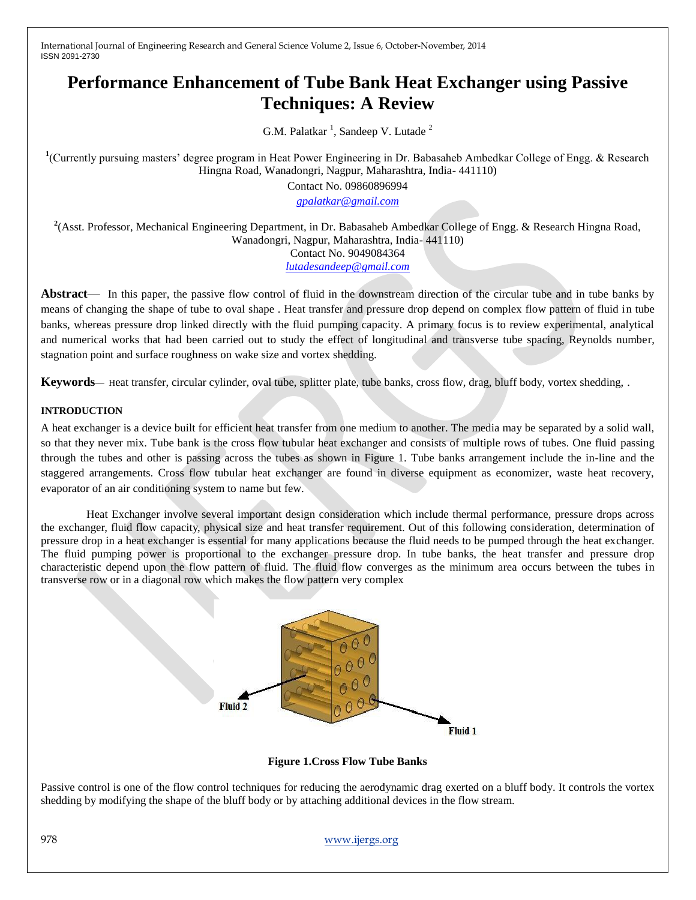# **Performance Enhancement of Tube Bank Heat Exchanger using Passive Techniques: A Review**

G.M. Palatkar<sup>1</sup>, Sandeep V. Lutade<sup>2</sup>

<sup>1</sup>(Currently pursuing masters' degree program in Heat Power Engineering in Dr. Babasaheb Ambedkar College of Engg. & Research Hingna Road, Wanadongri, Nagpur, Maharashtra, India- 441110)

Contact No. 09860896994

*[gpalatkar@gmail.com](mailto:gpalatkar@gmail.com)*

**2** (Asst. Professor, Mechanical Engineering Department, in Dr. Babasaheb Ambedkar College of Engg. & Research Hingna Road, Wanadongri, Nagpur, Maharashtra, India- 441110) Contact No. 9049084364 *[lutadesandeep@gmail.com](https://mail.google.com/mail/u/0/h/zbyfwzck2gnb/?&v=b&cs=wh&to=lutadesandeep@gmail.com)*

**Abstract**— In this paper, the passive flow control of fluid in the downstream direction of the circular tube and in tube banks by means of changing the shape of tube to oval shape . Heat transfer and pressure drop depend on complex flow pattern of fluid in tube banks, whereas pressure drop linked directly with the fluid pumping capacity. A primary focus is to review experimental, analytical and numerical works that had been carried out to study the effect of longitudinal and transverse tube spacing, Reynolds number, stagnation point and surface roughness on wake size and vortex shedding.

**Keywords**— Heat transfer, circular cylinder, oval tube, splitter plate, tube banks, cross flow, drag, bluff body, vortex shedding, .

#### **INTRODUCTION**

A heat exchanger is a device built for efficient heat transfer from one medium to another. The media may be separated by a solid wall, so that they never mix. Tube bank is the cross flow tubular heat exchanger and consists of multiple rows of tubes. One fluid passing through the tubes and other is passing across the tubes as shown in Figure 1. Tube banks arrangement include the in-line and the staggered arrangements. Cross flow tubular heat exchanger are found in diverse equipment as economizer, waste heat recovery, evaporator of an air conditioning system to name but few.

 Heat Exchanger involve several important design consideration which include thermal performance, pressure drops across the exchanger, fluid flow capacity, physical size and heat transfer requirement. Out of this following consideration, determination of pressure drop in a heat exchanger is essential for many applications because the fluid needs to be pumped through the heat exchanger. The fluid pumping power is proportional to the exchanger pressure drop. In tube banks, the heat transfer and pressure drop characteristic depend upon the flow pattern of fluid. The fluid flow converges as the minimum area occurs between the tubes in transverse row or in a diagonal row which makes the flow pattern very complex



**Figure 1.Cross Flow Tube Banks**

Passive control is one of the flow control techniques for reducing the aerodynamic drag exerted on a bluff body. It controls the vortex shedding by modifying the shape of the bluff body or by attaching additional devices in the flow stream.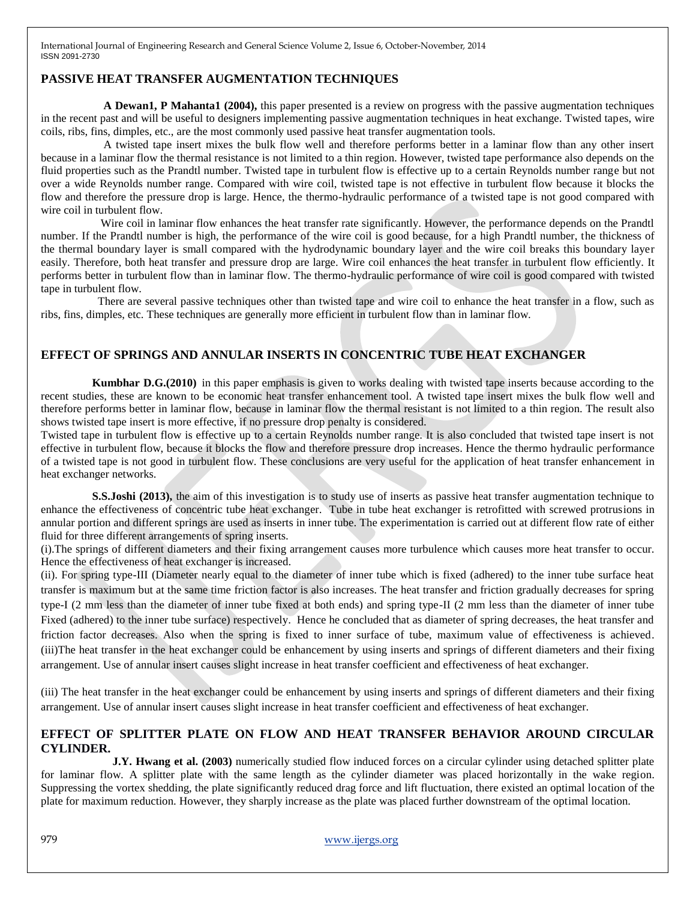## **PASSIVE HEAT TRANSFER AUGMENTATION TECHNIQUES**

 **A Dewan1, P Mahanta1 (2004),** this paper presented is a review on progress with the passive augmentation techniques in the recent past and will be useful to designers implementing passive augmentation techniques in heat exchange. Twisted tapes, wire coils, ribs, fins, dimples, etc., are the most commonly used passive heat transfer augmentation tools.

 A twisted tape insert mixes the bulk flow well and therefore performs better in a laminar flow than any other insert because in a laminar flow the thermal resistance is not limited to a thin region. However, twisted tape performance also depends on the fluid properties such as the Prandtl number. Twisted tape in turbulent flow is effective up to a certain Reynolds number range but not over a wide Reynolds number range. Compared with wire coil, twisted tape is not effective in turbulent flow because it blocks the flow and therefore the pressure drop is large. Hence, the thermo-hydraulic performance of a twisted tape is not good compared with wire coil in turbulent flow.

Wire coil in laminar flow enhances the heat transfer rate significantly. However, the performance depends on the Prandtl number. If the Prandtl number is high, the performance of the wire coil is good because, for a high Prandtl number, the thickness of the thermal boundary layer is small compared with the hydrodynamic boundary layer and the wire coil breaks this boundary layer easily. Therefore, both heat transfer and pressure drop are large. Wire coil enhances the heat transfer in turbulent flow efficiently. It performs better in turbulent flow than in laminar flow. The thermo-hydraulic performance of wire coil is good compared with twisted tape in turbulent flow.

 There are several passive techniques other than twisted tape and wire coil to enhance the heat transfer in a flow, such as ribs, fins, dimples, etc. These techniques are generally more efficient in turbulent flow than in laminar flow.

## **EFFECT OF SPRINGS AND ANNULAR INSERTS IN CONCENTRIC TUBE HEAT EXCHANGER**

**Kumbhar D.G.(2010)** in this paper emphasis is given to works dealing with twisted tape inserts because according to the recent studies, these are known to be economic heat transfer enhancement tool. A twisted tape insert mixes the bulk flow well and therefore performs better in laminar flow, because in laminar flow the thermal resistant is not limited to a thin region. The result also shows twisted tape insert is more effective, if no pressure drop penalty is considered.

Twisted tape in turbulent flow is effective up to a certain Reynolds number range. It is also concluded that twisted tape insert is not effective in turbulent flow, because it blocks the flow and therefore pressure drop increases. Hence the thermo hydraulic performance of a twisted tape is not good in turbulent flow. These conclusions are very useful for the application of heat transfer enhancement in heat exchanger networks.

 **S.S.Joshi (2013),** the aim of this investigation is to study use of inserts as passive heat transfer augmentation technique to enhance the effectiveness of concentric tube heat exchanger. Tube in tube heat exchanger is retrofitted with screwed protrusions in annular portion and different springs are used as inserts in inner tube. The experimentation is carried out at different flow rate of either fluid for three different arrangements of spring inserts.

(i).The springs of different diameters and their fixing arrangement causes more turbulence which causes more heat transfer to occur. Hence the effectiveness of heat exchanger is increased.

(ii). For spring type-III (Diameter nearly equal to the diameter of inner tube which is fixed (adhered) to the inner tube surface heat transfer is maximum but at the same time friction factor is also increases. The heat transfer and friction gradually decreases for spring type-I (2 mm less than the diameter of inner tube fixed at both ends) and spring type-II (2 mm less than the diameter of inner tube Fixed (adhered) to the inner tube surface) respectively. Hence he concluded that as diameter of spring decreases, the heat transfer and friction factor decreases. Also when the spring is fixed to inner surface of tube, maximum value of effectiveness is achieved. (iii)The heat transfer in the heat exchanger could be enhancement by using inserts and springs of different diameters and their fixing arrangement. Use of annular insert causes slight increase in heat transfer coefficient and effectiveness of heat exchanger.

(iii) The heat transfer in the heat exchanger could be enhancement by using inserts and springs of different diameters and their fixing arrangement. Use of annular insert causes slight increase in heat transfer coefficient and effectiveness of heat exchanger.

### **EFFECT OF SPLITTER PLATE ON FLOW AND HEAT TRANSFER BEHAVIOR AROUND CIRCULAR CYLINDER.**

**J.Y. Hwang et al. (2003)** numerically studied flow induced forces on a circular cylinder using detached splitter plate for laminar flow. A splitter plate with the same length as the cylinder diameter was placed horizontally in the wake region. Suppressing the vortex shedding, the plate significantly reduced drag force and lift fluctuation, there existed an optimal location of the plate for maximum reduction. However, they sharply increase as the plate was placed further downstream of the optimal location.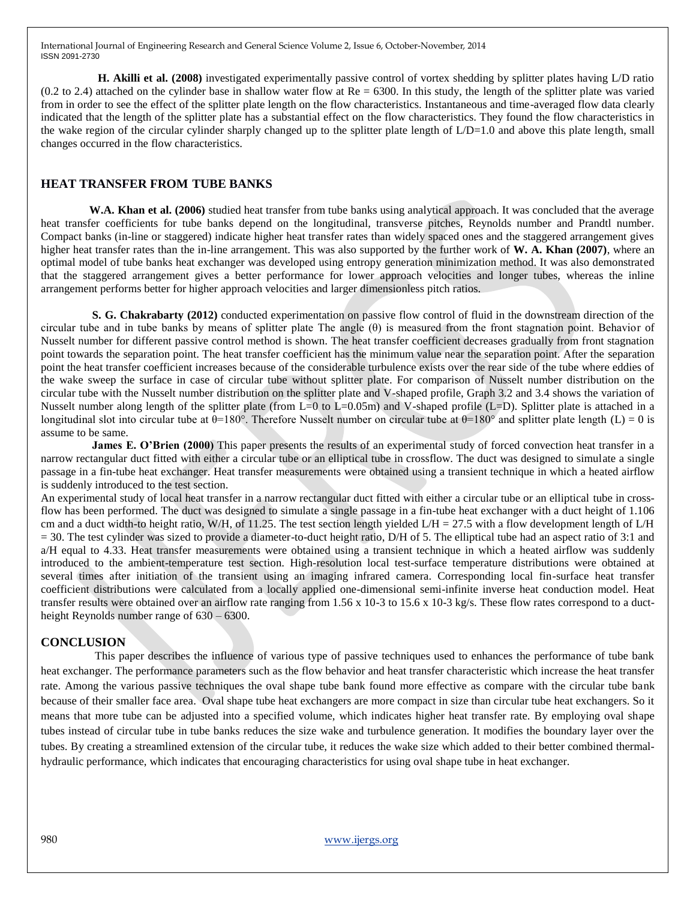**H. Akilli et al. (2008)** investigated experimentally passive control of vortex shedding by splitter plates having L/D ratio  $(0.2 \text{ to } 2.4)$  attached on the cylinder base in shallow water flow at  $Re = 6300$ . In this study, the length of the splitter plate was varied from in order to see the effect of the splitter plate length on the flow characteristics. Instantaneous and time-averaged flow data clearly indicated that the length of the splitter plate has a substantial effect on the flow characteristics. They found the flow characteristics in the wake region of the circular cylinder sharply changed up to the splitter plate length of L/D=1.0 and above this plate length, small changes occurred in the flow characteristics.

#### **HEAT TRANSFER FROM TUBE BANKS**

 **W.A. Khan et al. (2006)** studied heat transfer from tube banks using analytical approach. It was concluded that the average heat transfer coefficients for tube banks depend on the longitudinal, transverse pitches, Reynolds number and Prandtl number. Compact banks (in-line or staggered) indicate higher heat transfer rates than widely spaced ones and the staggered arrangement gives higher heat transfer rates than the in-line arrangement. This was also supported by the further work of **W. A. Khan (2007)**, where an optimal model of tube banks heat exchanger was developed using entropy generation minimization method. It was also demonstrated that the staggered arrangement gives a better performance for lower approach velocities and longer tubes, whereas the inline arrangement performs better for higher approach velocities and larger dimensionless pitch ratios.

 **S. G. Chakrabarty (2012)** conducted experimentation on passive flow control of fluid in the downstream direction of the circular tube and in tube banks by means of splitter plate The angle (θ) is measured from the front stagnation point. Behavior of Nusselt number for different passive control method is shown. The heat transfer coefficient decreases gradually from front stagnation point towards the separation point. The heat transfer coefficient has the minimum value near the separation point. After the separation point the heat transfer coefficient increases because of the considerable turbulence exists over the rear side of the tube where eddies of the wake sweep the surface in case of circular tube without splitter plate. For comparison of Nusselt number distribution on the circular tube with the Nusselt number distribution on the splitter plate and V-shaped profile, Graph 3.2 and 3.4 shows the variation of Nusselt number along length of the splitter plate (from L=0 to L=0.05m) and V-shaped profile (L=D). Splitter plate is attached in a longitudinal slot into circular tube at  $\theta$ =180°. Therefore Nusselt number on circular tube at  $\theta$ =180° and splitter plate length (L) = 0 is assume to be same.

**James E. O'Brien (2000)** This paper presents the results of an experimental study of forced convection heat transfer in a narrow rectangular duct fitted with either a circular tube or an elliptical tube in crossflow. The duct was designed to simulate a single passage in a fin-tube heat exchanger. Heat transfer measurements were obtained using a transient technique in which a heated airflow is suddenly introduced to the test section.

An experimental study of local heat transfer in a narrow rectangular duct fitted with either a circular tube or an elliptical tube in crossflow has been performed. The duct was designed to simulate a single passage in a fin-tube heat exchanger with a duct height of 1.106 cm and a duct width-to height ratio, W/H, of 11.25. The test section length yielded  $L/H = 27.5$  with a flow development length of  $L/H$ = 30. The test cylinder was sized to provide a diameter-to-duct height ratio, D/H of 5. The elliptical tube had an aspect ratio of 3:1 and a/H equal to 4.33. Heat transfer measurements were obtained using a transient technique in which a heated airflow was suddenly introduced to the ambient-temperature test section. High-resolution local test-surface temperature distributions were obtained at several times after initiation of the transient using an imaging infrared camera. Corresponding local fin-surface heat transfer coefficient distributions were calculated from a locally applied one-dimensional semi-infinite inverse heat conduction model. Heat transfer results were obtained over an airflow rate ranging from 1.56 x 10-3 to 15.6 x 10-3 kg/s. These flow rates correspond to a ductheight Reynolds number range of  $630 - 6300$ .

#### **CONCLUSION**

 This paper describes the influence of various type of passive techniques used to enhances the performance of tube bank heat exchanger. The performance parameters such as the flow behavior and heat transfer characteristic which increase the heat transfer rate. Among the various passive techniques the oval shape tube bank found more effective as compare with the circular tube bank because of their smaller face area. Oval shape tube heat exchangers are more compact in size than circular tube heat exchangers. So it means that more tube can be adjusted into a specified volume, which indicates higher heat transfer rate. By employing oval shape tubes instead of circular tube in tube banks reduces the size wake and turbulence generation. It modifies the boundary layer over the tubes. By creating a streamlined extension of the circular tube, it reduces the wake size which added to their better combined thermalhydraulic performance, which indicates that encouraging characteristics for using oval shape tube in heat exchanger.